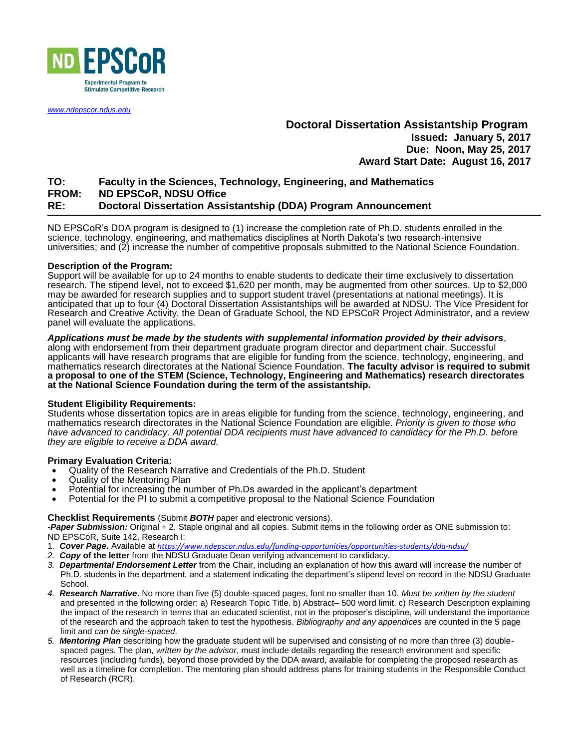

*[www.ndepscor.ndus.edu](http://www.ndepscor.nodak.edu/)*

# **Doctoral Dissertation Assistantship Program Issued: January 5, 2017 Due: Noon, May 25, 2017 Award Start Date: August 16, 2017**

# **TO: Faculty in the Sciences, Technology, Engineering, and Mathematics FROM: ND EPSCoR, NDSU Office RE: Doctoral Dissertation Assistantship (DDA) Program Announcement**

ND EPSCoR's DDA program is designed to (1) increase the completion rate of Ph.D. students enrolled in the science, technology, engineering, and mathematics disciplines at North Dakota's two research-intensive universities; and (2) increase the number of competitive proposals submitted to the National Science Foundation.

## **Description of the Program:**

Support will be available for up to 24 months to enable students to dedicate their time exclusively to dissertation research. The stipend level, not to exceed \$1,620 per month, may be augmented from other sources. Up to \$2,000 may be awarded for research supplies and to support student travel (presentations at national meetings). It is anticipated that up to four (4) Doctoral Dissertation Assistantships will be awarded at NDSU. The Vice President for Research and Creative Activity, the Dean of Graduate School, the ND EPSCoR Project Administrator, and a review panel will evaluate the applications.

*Applications must be made by the students with supplemental information provided by their advisors*, along with endorsement from their department graduate program director and department chair. Successful applicants will have research programs that are eligible for funding from the science, technology, engineering, and mathematics research directorates at the National Science Foundation. **The faculty advisor is required to submit a proposal to one of the STEM (Science, Technology, Engineering and Mathematics) research directorates at the National Science Foundation during the term of the assistantship.**

### **Student Eligibility Requirements:**

Students whose dissertation topics are in areas eligible for funding from the science, technology, engineering, and mathematics research directorates in the National Science Foundation are eligible. *Priority is given to those who have advanced to candidacy. All potential DDA recipients must have advanced to candidacy for the Ph.D. before they are eligible to receive a DDA award.*

## **Primary Evaluation Criteria:**

- Quality of the Research Narrative and Credentials of the Ph.D. Student
- Quality of the Mentoring Plan
- Potential for increasing the number of Ph.Ds awarded in the applicant's department
- Potential for the PI to submit a competitive proposal to the National Science Foundation

### **Checklist Requirements** (Submit *BOTH* paper and electronic versions).

*-Paper Submission:* Original + 2. Staple original and all copies. Submit items in the following order as ONE submission to: ND EPSCoR, Suite 142, Research I:

- 1. *Cover Page***.** Available at *<https://www.ndepscor.ndus.edu/funding-opportunities/opportunities-students/dda-ndsu/>*
- *2. Copy* **of the letter** from the NDSU Graduate Dean verifying advancement to candidacy.
- *3. Departmental Endorsement Letter* from the Chair, including an explanation of how this award will increase the number of Ph.D. students in the department, and a statement indicating the department's stipend level on record in the NDSU Graduate School.
- *4. Research Narrative***.** No more than five (5) double-spaced pages, font no smaller than 10. *Must be written by the student* and presented in the following order: a) Research Topic Title. b) Abstract– 500 word limit. c) Research Description explaining the impact of the research in terms that an educated scientist, not in the proposer's discipline, will understand the importance of the research and the approach taken to test the hypothesis. *Bibliography and any appendices* are counted in the 5 page limit and *can be single-spaced*.
- *5. Mentoring Plan* describing how the graduate student will be supervised and consisting of no more than three (3) doublespaced pages. The plan, *written by the advisor*, must include details regarding the research environment and specific resources (including funds), beyond those provided by the DDA award, available for completing the proposed research as well as a timeline for completion. The mentoring plan should address plans for training students in the Responsible Conduct of Research (RCR).